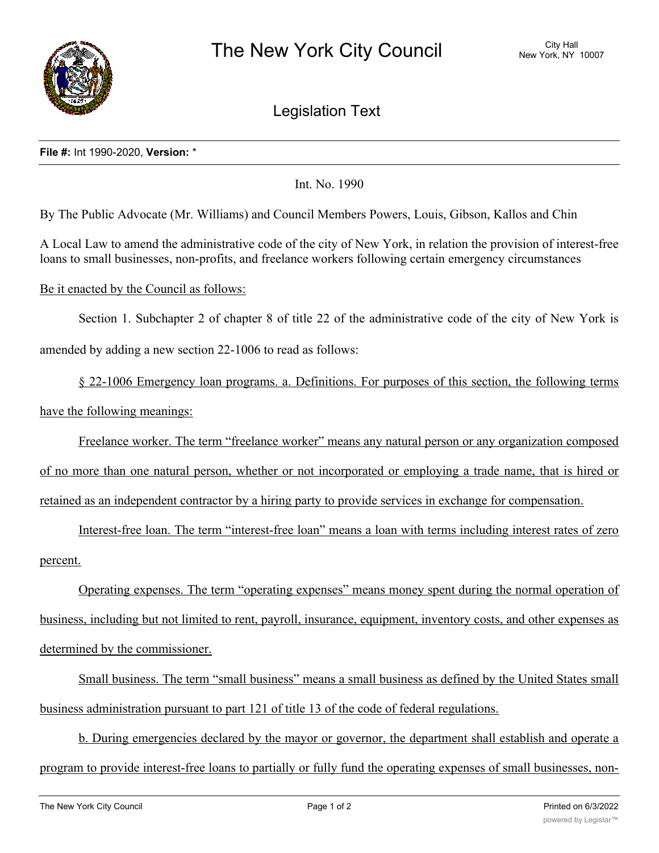

## Legislation Text

## **File #:** Int 1990-2020, **Version:** \*

Int. No. 1990

By The Public Advocate (Mr. Williams) and Council Members Powers, Louis, Gibson, Kallos and Chin

A Local Law to amend the administrative code of the city of New York, in relation the provision of interest-free loans to small businesses, non-profits, and freelance workers following certain emergency circumstances

## Be it enacted by the Council as follows:

Section 1. Subchapter 2 of chapter 8 of title 22 of the administrative code of the city of New York is amended by adding a new section 22-1006 to read as follows:

§ 22-1006 Emergency loan programs. a. Definitions. For purposes of this section, the following terms have the following meanings:

Freelance worker. The term "freelance worker" means any natural person or any organization composed of no more than one natural person, whether or not incorporated or employing a trade name, that is hired or retained as an independent contractor by a hiring party to provide services in exchange for compensation.

Interest-free loan. The term "interest-free loan" means a loan with terms including interest rates of zero percent.

Operating expenses. The term "operating expenses" means money spent during the normal operation of business, including but not limited to rent, payroll, insurance, equipment, inventory costs, and other expenses as determined by the commissioner.

Small business. The term "small business" means a small business as defined by the United States small business administration pursuant to part 121 of title 13 of the code of federal regulations.

b. During emergencies declared by the mayor or governor, the department shall establish and operate a program to provide interest-free loans to partially or fully fund the operating expenses of small businesses, non-